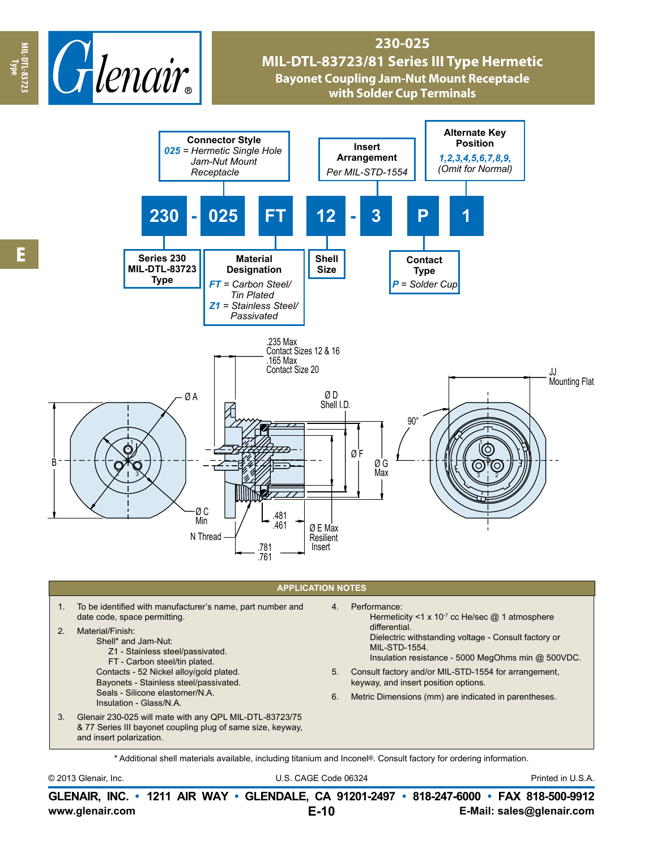

## **230-025 MIL-DTL-83723/81 Series III Type Hermetic Bayonet Coupling Jam-Nut Mount Receptacle with Solder Cup Terminals**



- 2. Material/Finish:
	- Shell\* and Jam-Nut: Z1 - Stainless steel/passivated. FT - Carbon steel/tin plated. Contacts - 52 Nickel alloy/gold plated. Bayonets - Stainless steel/passivated. Seals - Silicone elastomer/N.A.
- Insulation Glass/N.A. 3. Glenair 230-025 will mate with any QPL MIL-DTL-83723/75
- & 77 Series III bayonet coupling plug of same size, keyway, and insert polarization.
- differential. Dielectric withstanding voltage - Consult factory or MIL-STD-1554.
- Insulation resistance 5000 MegOhms min @ 500VDC.
- 5. Consult factory and/or MIL-STD-1554 for arrangement, keyway, and insert position options.
- 6. Metric Dimensions (mm) are indicated in parentheses.

\* Additional shell materials available, including titanium and Inconel®. Consult factory for ordering information.

© 2013 Glenair, Inc. U.S. CAGE Code 06324 Printed in U.S.A.

**www.glenair.com E-Mail: sales@glenair.com GLENAIR, INC. • 1211 AIR WAY • GLENDALE, CA 91201-2497 • 818-247-6000 • FAX 818-500-9912 E-10**

**Type**